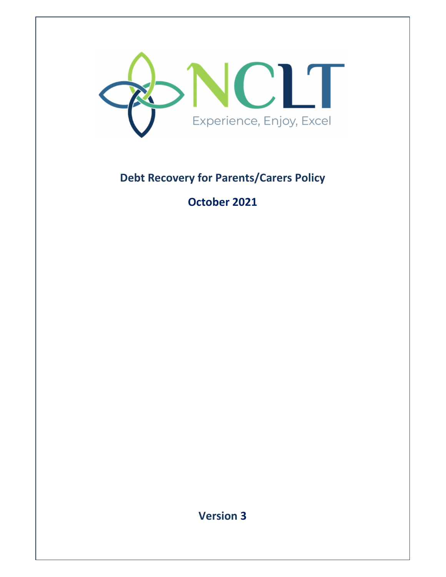

# **Debt Recovery for Parents/Carers Policy**

# **October 2021**

**Version 3**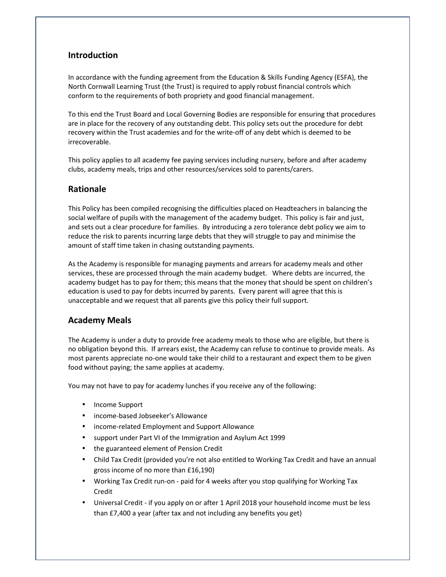# **Introduction**

In accordance with the funding agreement from the Education & Skills Funding Agency (ESFA), the North Cornwall Learning Trust (the Trust) is required to apply robust financial controls which conform to the requirements of both propriety and good financial management.

To this end the Trust Board and Local Governing Bodies are responsible for ensuring that procedures are in place for the recovery of any outstanding debt. This policy sets out the procedure for debt recovery within the Trust academies and for the write-off of any debt which is deemed to be irrecoverable.

This policy applies to all academy fee paying services including nursery, before and after academy clubs, academy meals, trips and other resources/services sold to parents/carers.

# **Rationale**

This Policy has been compiled recognising the difficulties placed on Headteachers in balancing the social welfare of pupils with the management of the academy budget. This policy is fair and just, and sets out a clear procedure for families. By introducing a zero tolerance debt policy we aim to reduce the risk to parents incurring large debts that they will struggle to pay and minimise the amount of staff time taken in chasing outstanding payments.

As the Academy is responsible for managing payments and arrears for academy meals and other services, these are processed through the main academy budget. Where debts are incurred, the academy budget has to pay for them; this means that the money that should be spent on children's education is used to pay for debts incurred by parents. Every parent will agree that this is unacceptable and we request that all parents give this policy their full support.

# **Academy Meals**

The Academy is under a duty to provide free academy meals to those who are eligible, but there is no obligation beyond this. If arrears exist, the Academy can refuse to continue to provide meals. As most parents appreciate no-one would take their child to a restaurant and expect them to be given food without paying; the same applies at academy.

You may not have to pay for academy lunches if you receive any of the following:

- Income Support
- income-based Jobseeker's Allowance
- income-related Employment and Support Allowance
- support under Part VI of the Immigration and Asylum Act 1999
- the guaranteed element of Pension Credit
- Child Tax Credit (provided you're not also entitled to Working Tax Credit and have an annual gross income of no more than £16,190)
- Working Tax Credit run-on paid for 4 weeks after you stop qualifying for Working Tax Credit
- Universal Credit if you apply on or after 1 April 2018 your household income must be less than £7,400 a year (after tax and not including any benefits you get)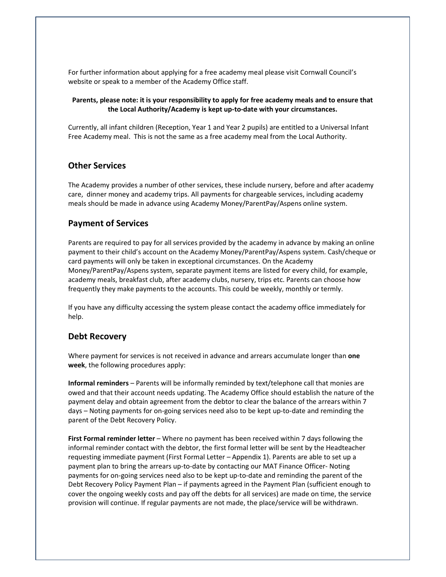For further information about applying for a free academy meal please visit Cornwall Council's website or speak to a member of the Academy Office staff.

### **Parents, please note: it is your responsibility to apply for free academy meals and to ensure that the Local Authority/Academy is kept up-to-date with your circumstances.**

Currently, all infant children (Reception, Year 1 and Year 2 pupils) are entitled to a Universal Infant Free Academy meal. This is not the same as a free academy meal from the Local Authority.

## **Other Services**

The Academy provides a number of other services, these include nursery, before and after academy care, dinner money and academy trips. All payments for chargeable services, including academy meals should be made in advance using Academy Money/ParentPay/Aspens online system.

## **Payment of Services**

Parents are required to pay for all services provided by the academy in advance by making an online payment to their child's account on the Academy Money/ParentPay/Aspens system. Cash/cheque or card payments will only be taken in exceptional circumstances. On the Academy Money/ParentPay/Aspens system, separate payment items are listed for every child, for example, academy meals, breakfast club, after academy clubs, nursery, trips etc. Parents can choose how frequently they make payments to the accounts. This could be weekly, monthly or termly.

If you have any difficulty accessing the system please contact the academy office immediately for help.

## **Debt Recovery**

Where payment for services is not received in advance and arrears accumulate longer than **one week**, the following procedures apply:

**Informal reminders** – Parents will be informally reminded by text/telephone call that monies are owed and that their account needs updating. The Academy Office should establish the nature of the payment delay and obtain agreement from the debtor to clear the balance of the arrears within 7 days – Noting payments for on-going services need also to be kept up-to-date and reminding the parent of the Debt Recovery Policy.

**First Formal reminder letter** – Where no payment has been received within 7 days following the informal reminder contact with the debtor, the first formal letter will be sent by the Headteacher requesting immediate payment (First Formal Letter – Appendix 1). Parents are able to set up a payment plan to bring the arrears up-to-date by contacting our MAT Finance Officer- Noting payments for on-going services need also to be kept up-to-date and reminding the parent of the Debt Recovery Policy Payment Plan – if payments agreed in the Payment Plan (sufficient enough to cover the ongoing weekly costs and pay off the debts for all services) are made on time, the service provision will continue. If regular payments are not made, the place/service will be withdrawn.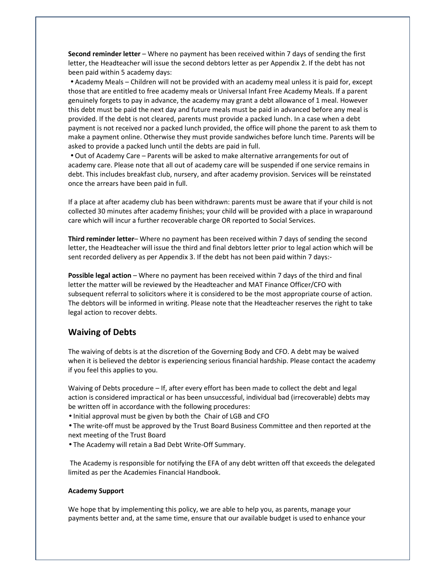**Second reminder letter** – Where no payment has been received within 7 days of sending the first letter, the Headteacher will issue the second debtors letter as per Appendix 2. If the debt has not been paid within 5 academy days:

• Academy Meals – Children will not be provided with an academy meal unless it is paid for, except those that are entitled to free academy meals or Universal Infant Free Academy Meals. If a parent genuinely forgets to pay in advance, the academy may grant a debt allowance of 1 meal. However this debt must be paid the next day and future meals must be paid in advanced before any meal is provided. If the debt is not cleared, parents must provide a packed lunch. In a case when a debt payment is not received nor a packed lunch provided, the office will phone the parent to ask them to make a payment online. Otherwise they must provide sandwiches before lunch time. Parents will be asked to provide a packed lunch until the debts are paid in full.

• Out of Academy Care – Parents will be asked to make alternative arrangements for out of academy care. Please note that all out of academy care will be suspended if one service remains in debt. This includes breakfast club, nursery, and after academy provision. Services will be reinstated once the arrears have been paid in full.

If a place at after academy club has been withdrawn: parents must be aware that if your child is not collected 30 minutes after academy finishes; your child will be provided with a place in wraparound care which will incur a further recoverable charge OR reported to Social Services.

**Third reminder letter**– Where no payment has been received within 7 days of sending the second letter, the Headteacher will issue the third and final debtors letter prior to legal action which will be sent recorded delivery as per Appendix 3. If the debt has not been paid within 7 days:-

**Possible legal action** – Where no payment has been received within 7 days of the third and final letter the matter will be reviewed by the Headteacher and MAT Finance Officer/CFO with subsequent referral to solicitors where it is considered to be the most appropriate course of action. The debtors will be informed in writing. Please note that the Headteacher reserves the right to take legal action to recover debts.

## **Waiving of Debts**

The waiving of debts is at the discretion of the Governing Body and CFO. A debt may be waived when it is believed the debtor is experiencing serious financial hardship. Please contact the academy if you feel this applies to you.

Waiving of Debts procedure – If, after every effort has been made to collect the debt and legal action is considered impractical or has been unsuccessful, individual bad (irrecoverable) debts may be written off in accordance with the following procedures:

• Initial approval must be given by both the Chair of LGB and CFO

• The write-off must be approved by the Trust Board Business Committee and then reported at the next meeting of the Trust Board

• The Academy will retain a Bad Debt Write-Off Summary.

 The Academy is responsible for notifying the EFA of any debt written off that exceeds the delegated limited as per the Academies Financial Handbook.

#### **Academy Support**

We hope that by implementing this policy, we are able to help you, as parents, manage your payments better and, at the same time, ensure that our available budget is used to enhance your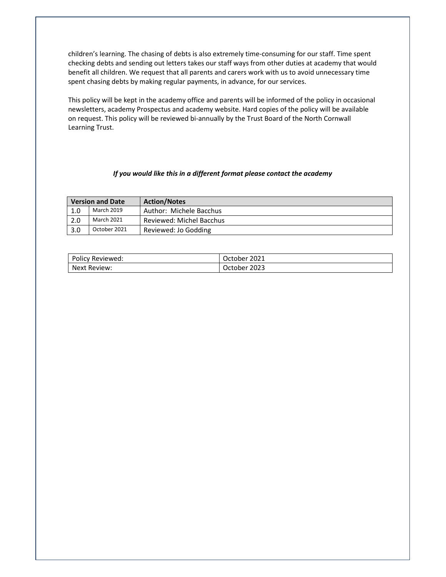children's learning. The chasing of debts is also extremely time-consuming for our staff. Time spent checking debts and sending out letters takes our staff ways from other duties at academy that would benefit all children. We request that all parents and carers work with us to avoid unnecessary time spent chasing debts by making regular payments, in advance, for our services.

This policy will be kept in the academy office and parents will be informed of the policy in occasional newsletters, academy Prospectus and academy website. Hard copies of the policy will be available on request. This policy will be reviewed bi-annually by the Trust Board of the North Cornwall Learning Trust.

#### *If you would like this in a different format please contact the academy*

| <b>Version and Date</b> |              | <b>Action/Notes</b>      |
|-------------------------|--------------|--------------------------|
| 1.0                     | March 2019   | Author: Michele Bacchus  |
| 2.0                     | March 2021   | Reviewed: Michel Bacchus |
| 3.0                     | October 2021 | Reviewed: Jo Godding     |

| Policy Reviewed: | October 2021 |
|------------------|--------------|
| Next Review:     | October 2023 |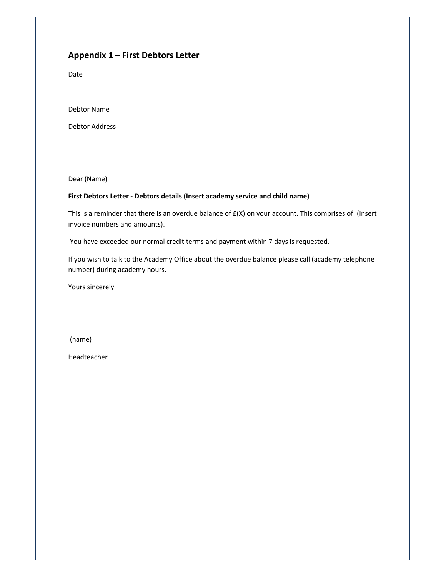# **Appendix 1 – First Debtors Letter**

Date

Debtor Name

Debtor Address

Dear (Name)

### **First Debtors Letter - Debtors details (Insert academy service and child name)**

This is a reminder that there is an overdue balance of £(X) on your account. This comprises of: (Insert invoice numbers and amounts).

You have exceeded our normal credit terms and payment within 7 days is requested.

If you wish to talk to the Academy Office about the overdue balance please call (academy telephone number) during academy hours.

Yours sincerely

(name)

Headteacher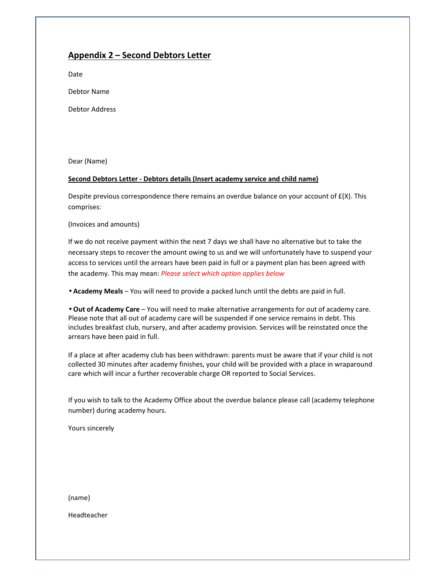## **Appendix 2 – Second Debtors Letter**

Date

Debtor Name

Debtor Address

Dear (Name)

### **Second Debtors Letter - Debtors details (Insert academy service and child name)**

Despite previous correspondence there remains an overdue balance on your account of  $E(X)$ . This comprises:

(Invoices and amounts)

If we do not receive payment within the next 7 days we shall have no alternative but to take the necessary steps to recover the amount owing to us and we will unfortunately have to suspend your access to services until the arrears have been paid in full or a payment plan has been agreed with the academy. This may mean: *Please select which option applies below*

• **Academy Meals** – You will need to provide a packed lunch until the debts are paid in full.

• **Out of Academy Care** – You will need to make alternative arrangements for out of academy care. Please note that all out of academy care will be suspended if one service remains in debt. This includes breakfast club, nursery, and after academy provision. Services will be reinstated once the arrears have been paid in full.

If a place at after academy club has been withdrawn: parents must be aware that if your child is not collected 30 minutes after academy finishes, your child will be provided with a place in wraparound care which will incur a further recoverable charge OR reported to Social Services.

If you wish to talk to the Academy Office about the overdue balance please call (academy telephone number) during academy hours.

Yours sincerely

(name)

Headteacher